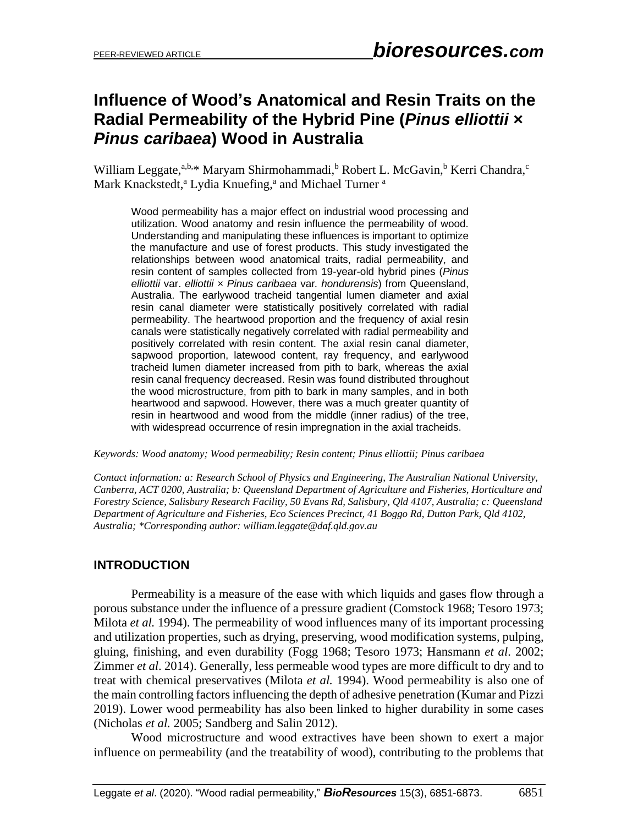# **Influence of Wood's Anatomical and Resin Traits on the Radial Permeability of the Hybrid Pine (***Pinus elliottii* **×** *Pinus caribaea***) Wood in Australia**

William Leggate,<sup>a,b,\*</sup> Maryam Shirmohammadi,<sup>b</sup> Robert L. McGavin,<sup>b</sup> Kerri Chandra,<sup>c</sup> Mark Knackstedt,<sup>a</sup> Lydia Knuefing,<sup>a</sup> and Michael Turner<sup>a</sup>

Wood permeability has a major effect on industrial wood processing and utilization. Wood anatomy and resin influence the permeability of wood. Understanding and manipulating these influences is important to optimize the manufacture and use of forest products. This study investigated the relationships between wood anatomical traits, radial permeability, and resin content of samples collected from 19-year-old hybrid pines (*Pinus elliottii* var. *elliottii* × *Pinus caribaea* var*. hondurensis*) from Queensland, Australia. The earlywood tracheid tangential lumen diameter and axial resin canal diameter were statistically positively correlated with radial permeability. The heartwood proportion and the frequency of axial resin canals were statistically negatively correlated with radial permeability and positively correlated with resin content. The axial resin canal diameter, sapwood proportion, latewood content, ray frequency, and earlywood tracheid lumen diameter increased from pith to bark, whereas the axial resin canal frequency decreased. Resin was found distributed throughout the wood microstructure, from pith to bark in many samples, and in both heartwood and sapwood. However, there was a much greater quantity of resin in heartwood and wood from the middle (inner radius) of the tree, with widespread occurrence of resin impregnation in the axial tracheids.

*Keywords: Wood anatomy; Wood permeability; Resin content; Pinus elliottii; Pinus caribaea* 

*Contact information: a: Research School of Physics and Engineering, The Australian National University, Canberra, ACT 0200, Australia; b: Queensland Department of Agriculture and Fisheries, Horticulture and Forestry Science, Salisbury Research Facility, 50 Evans Rd, Salisbury, Qld 4107, Australia; c: Queensland Department of Agriculture and Fisheries, Eco Sciences Precinct, 41 Boggo Rd, Dutton Park, Qld 4102, Australia; \*Corresponding author: william.leggate@daf.qld.gov.au*

#### **INTRODUCTION**

Permeability is a measure of the ease with which liquids and gases flow through a porous substance under the influence of a pressure gradient (Comstock 1968; Tesoro 1973; Milota *et al.* 1994). The permeability of wood influences many of its important processing and utilization properties, such as drying, preserving, wood modification systems, pulping, gluing, finishing, and even durability (Fogg 1968; Tesoro 1973; Hansmann *et al*. 2002; Zimmer *et al*. 2014). Generally, less permeable wood types are more difficult to dry and to treat with chemical preservatives (Milota *et al.* 1994). Wood permeability is also one of the main controlling factors influencing the depth of adhesive penetration (Kumar and Pizzi 2019). Lower wood permeability has also been linked to higher durability in some cases (Nicholas *et al.* 2005; Sandberg and Salin 2012).

Wood microstructure and wood extractives have been shown to exert a major influence on permeability (and the treatability of wood), contributing to the problems that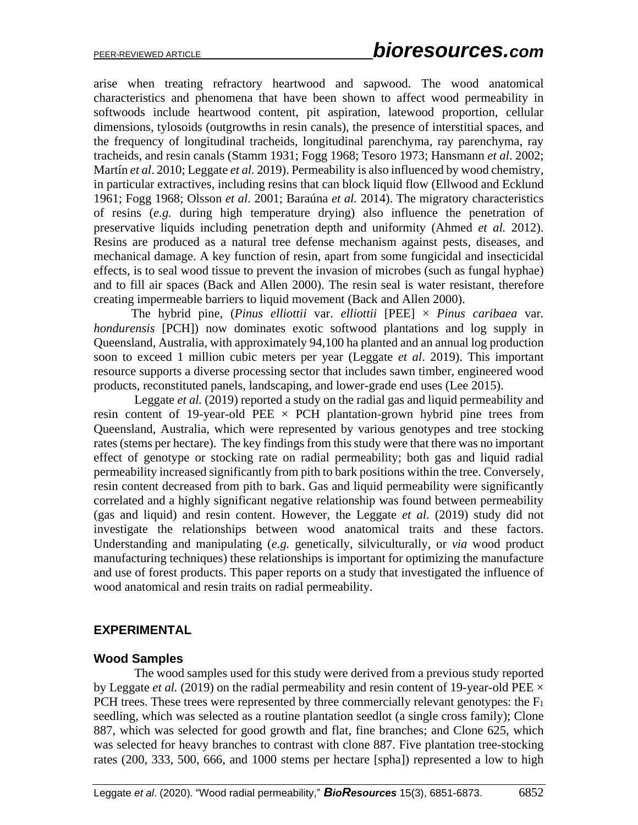arise when treating refractory heartwood and sapwood. The wood anatomical characteristics and phenomena that have been shown to affect wood permeability in softwoods include heartwood content, pit aspiration, latewood proportion, cellular dimensions, tylosoids (outgrowths in resin canals), the presence of interstitial spaces, and the frequency of longitudinal tracheids, longitudinal parenchyma, ray parenchyma, ray tracheids, and resin canals (Stamm 1931; Fogg 1968; Tesoro 1973; Hansmann *et al*. 2002; Martín *et al*. 2010; Leggate *et al.* 2019). Permeability is also influenced by wood chemistry, in particular extractives, including resins that can block liquid flow (Ellwood and Ecklund 1961; Fogg 1968; Olsson *et al*. 2001; Baraúna *et al.* 2014). The migratory characteristics of resins (*e.g.* during high temperature drying) also influence the penetration of preservative liquids including penetration depth and uniformity (Ahmed *et al.* 2012). Resins are produced as a natural tree defense mechanism against pests, diseases, and mechanical damage. A key function of resin, apart from some fungicidal and insecticidal effects, is to seal wood tissue to prevent the invasion of microbes (such as fungal hyphae) and to fill air spaces (Back and Allen 2000). The resin seal is water resistant, therefore creating impermeable barriers to liquid movement (Back and Allen 2000).

The hybrid pine, (*Pinus elliottii var. elliottii* [PEE]  $\times$  *Pinus caribaea var. hondurensis* [PCH]) now dominates exotic softwood plantations and log supply in Queensland, Australia, with approximately 94,100 ha planted and an annual log production soon to exceed 1 million cubic meters per year (Leggate *et al*. 2019). This important resource supports a diverse processing sector that includes sawn timber, engineered wood products, reconstituted panels, landscaping, and lower-grade end uses (Lee 2015).

 Leggate *et al.* (2019) reported a study on the radial gas and liquid permeability and resin content of 19-year-old PEE  $\times$  PCH plantation-grown hybrid pine trees from Queensland, Australia, which were represented by various genotypes and tree stocking rates(stems per hectare). The key findings from this study were that there was no important effect of genotype or stocking rate on radial permeability; both gas and liquid radial permeability increased significantly from pith to bark positions within the tree. Conversely, resin content decreased from pith to bark. Gas and liquid permeability were significantly correlated and a highly significant negative relationship was found between permeability (gas and liquid) and resin content. However, the Leggate *et al.* (2019) study did not investigate the relationships between wood anatomical traits and these factors. Understanding and manipulating (*e.g.* genetically, silviculturally, or *via* wood product manufacturing techniques) these relationships is important for optimizing the manufacture and use of forest products. This paper reports on a study that investigated the influence of wood anatomical and resin traits on radial permeability.

#### **EXPERIMENTAL**

#### **Wood Samples**

 The wood samples used for this study were derived from a previous study reported by Leggate *et al.* (2019) on the radial permeability and resin content of 19-year-old PEE  $\times$ PCH trees. These trees were represented by three commercially relevant genotypes: the  $F_1$ seedling, which was selected as a routine plantation seedlot (a single cross family); Clone 887, which was selected for good growth and flat, fine branches; and Clone 625, which was selected for heavy branches to contrast with clone 887. Five plantation tree-stocking rates (200, 333, 500, 666, and 1000 stems per hectare [spha]) represented a low to high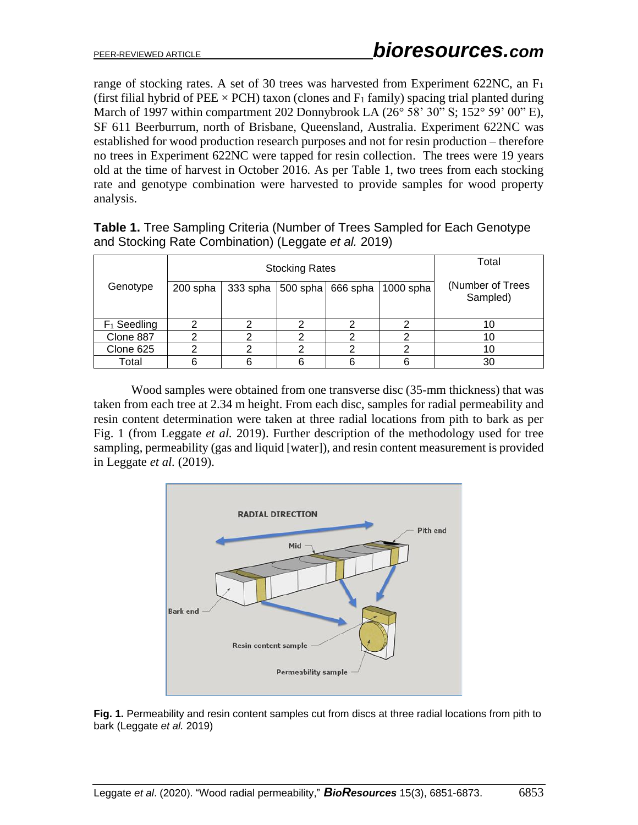range of stocking rates. A set of 30 trees was harvested from Experiment 622NC, an F<sup>1</sup> (first filial hybrid of PEE  $\times$  PCH) taxon (clones and F<sub>1</sub> family) spacing trial planted during March of 1997 within compartment 202 Donnybrook LA  $(26^{\circ} 58' 30'' S; 152^{\circ} 59' 00'' E)$ , SF 611 Beerburrum, north of Brisbane, Queensland, Australia. Experiment 622NC was established for wood production research purposes and not for resin production – therefore no trees in Experiment 622NC were tapped for resin collection. The trees were 19 years old at the time of harvest in October 2016*.* As per Table 1, two trees from each stocking rate and genotype combination were harvested to provide samples for wood property analysis.

|                |          | <b>Stocking Rates</b>                   | Total                        |   |    |
|----------------|----------|-----------------------------------------|------------------------------|---|----|
| Genotype       | 200 spha | 333 spha<br>$ 500$ spha $ 666$ spha $ $ | (Number of Trees<br>Sampled) |   |    |
| $F_1$ Seedling |          |                                         | ≘                            | റ | 10 |
| Clone 887      |          | ⌒                                       | ≘                            | າ | 10 |
| Clone 625      |          | ⌒                                       | ◠                            | っ | 10 |
| Total          | 6        |                                         | 6                            |   | 30 |

**Table 1.** Tree Sampling Criteria (Number of Trees Sampled for Each Genotype and Stocking Rate Combination) (Leggate *et al.* 2019)

Wood samples were obtained from one transverse disc (35-mm thickness) that was taken from each tree at 2.34 m height. From each disc, samples for radial permeability and resin content determination were taken at three radial locations from pith to bark as per Fig. 1 (from Leggate *et al.* 2019). Further description of the methodology used for tree sampling, permeability (gas and liquid [water]), and resin content measurement is provided in Leggate *et al.* (2019).



**Fig. 1.** Permeability and resin content samples cut from discs at three radial locations from pith to bark (Leggate *et al.* 2019)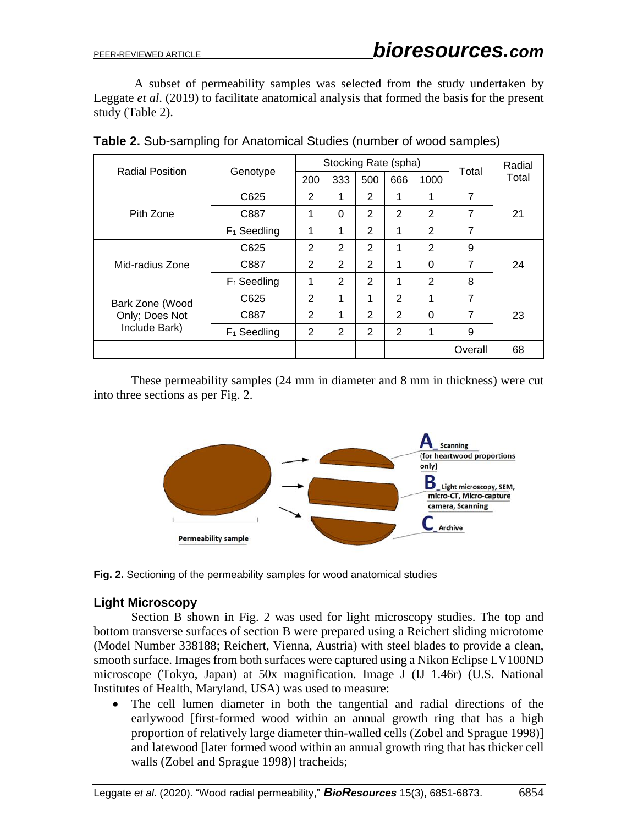A subset of permeability samples was selected from the study undertaken by Leggate *et al*. (2019) to facilitate anatomical analysis that formed the basis for the present study (Table 2).

|                        |                | Stocking Rate (spha) |                |     |     |                |                | Radial |  |
|------------------------|----------------|----------------------|----------------|-----|-----|----------------|----------------|--------|--|
| <b>Radial Position</b> | Genotype       | 200                  | 333            | 500 | 666 | 1000           | Total          | Total  |  |
|                        | C625           | 2                    | 1              | 2   | 1   | 1              | 7              | 21     |  |
| Pith Zone              | C887           | 1                    | $\Omega$       | 2   | 2   | $\overline{2}$ | $\overline{7}$ |        |  |
|                        | $F_1$ Seedling | 1                    | 1              | 2   | 1   | 2              | $\overline{7}$ |        |  |
|                        | C625           | 2                    | $\overline{2}$ | 2   | 1   | 2              | 9              | 24     |  |
| Mid-radius Zone        | C887           | 2                    | $\overline{2}$ | 2   | 1   | $\Omega$       | 7              |        |  |
|                        | $F_1$ Seedling | 1                    | 2              | 2   |     | 2              | 8              |        |  |
| Bark Zone (Wood        | C625           | 2                    | 1              | 1   | 2   | 1              | 7              |        |  |
| Only; Does Not         | C887           | 2                    | 1              | 2   | 2   | $\Omega$       | 7              | 23     |  |
| Include Bark)          | $F_1$ Seedling | 2                    | 2              | 2   | 2   | 1              | 9              |        |  |
|                        |                |                      |                |     |     |                | Overall        | 68     |  |

**Table 2.** Sub-sampling for Anatomical Studies (number of wood samples)

These permeability samples (24 mm in diameter and 8 mm in thickness) were cut into three sections as per Fig. 2.



**Fig. 2.** Sectioning of the permeability samples for wood anatomical studies

#### **Light Microscopy**

Section B shown in Fig. 2 was used for light microscopy studies. The top and bottom transverse surfaces of section B were prepared using a Reichert sliding microtome (Model Number 338188; Reichert, Vienna, Austria) with steel blades to provide a clean, smooth surface. Images from both surfaces were captured using a Nikon Eclipse LV100ND microscope (Tokyo, Japan) at 50x magnification. Image J (IJ 1.46r) (U.S. National Institutes of Health, Maryland, USA) was used to measure:

The cell lumen diameter in both the tangential and radial directions of the earlywood [first-formed wood within an annual growth ring that has a high proportion of relatively large diameter thin-walled cells (Zobel and Sprague 1998)] and latewood [later formed wood within an annual growth ring that has thicker cell walls (Zobel and Sprague 1998)] tracheids;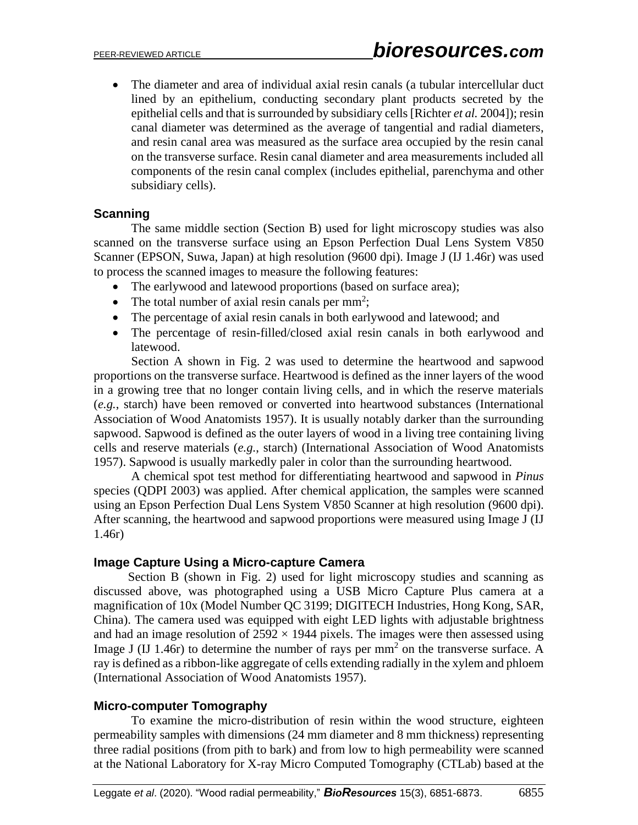• The diameter and area of individual axial resin canals (a tubular intercellular duct lined by an epithelium, conducting secondary plant products secreted by the epithelial cells and that is surrounded by subsidiary cells [Richter *et al.* 2004]); resin canal diameter was determined as the average of tangential and radial diameters, and resin canal area was measured as the surface area occupied by the resin canal on the transverse surface. Resin canal diameter and area measurements included all components of the resin canal complex (includes epithelial, parenchyma and other subsidiary cells).

#### **Scanning**

The same middle section (Section B) used for light microscopy studies was also scanned on the transverse surface using an Epson Perfection Dual Lens System V850 Scanner (EPSON, Suwa, Japan) at high resolution (9600 dpi). Image J (IJ 1.46r) was used to process the scanned images to measure the following features:

- The earlywood and latewood proportions (based on surface area);
- The total number of axial resin canals per  $mm<sup>2</sup>$ ;
- The percentage of axial resin canals in both earlywood and latewood; and
- The percentage of resin-filled/closed axial resin canals in both earlywood and latewood.

Section A shown in Fig. 2 was used to determine the heartwood and sapwood proportions on the transverse surface. Heartwood is defined as the inner layers of the wood in a growing tree that no longer contain living cells, and in which the reserve materials (*e.g.*, starch) have been removed or converted into heartwood substances (International Association of Wood Anatomists 1957). It is usually notably darker than the surrounding sapwood. Sapwood is defined as the outer layers of wood in a living tree containing living cells and reserve materials (*e.g.*, starch) (International Association of Wood Anatomists 1957). Sapwood is usually markedly paler in color than the surrounding heartwood.

A chemical spot test method for differentiating heartwood and sapwood in *Pinus* species (QDPI 2003) was applied. After chemical application, the samples were scanned using an Epson Perfection Dual Lens System V850 Scanner at high resolution (9600 dpi). After scanning, the heartwood and sapwood proportions were measured using Image J (IJ 1.46r)

#### **Image Capture Using a Micro-capture Camera**

 Section B (shown in Fig. 2) used for light microscopy studies and scanning as discussed above, was photographed using a USB Micro Capture Plus camera at a magnification of 10x (Model Number QC 3199; DIGITECH Industries, Hong Kong, SAR, China). The camera used was equipped with eight LED lights with adjustable brightness and had an image resolution of  $2592 \times 1944$  pixels. The images were then assessed using Image J (IJ 1.46r) to determine the number of rays per  $mm<sup>2</sup>$  on the transverse surface. A ray is defined as a ribbon-like aggregate of cells extending radially in the xylem and phloem (International Association of Wood Anatomists 1957).

#### **Micro-computer Tomography**

To examine the micro-distribution of resin within the wood structure, eighteen permeability samples with dimensions (24 mm diameter and 8 mm thickness) representing three radial positions (from pith to bark) and from low to high permeability were scanned at the National Laboratory for X-ray Micro Computed Tomography (CTLab) based at the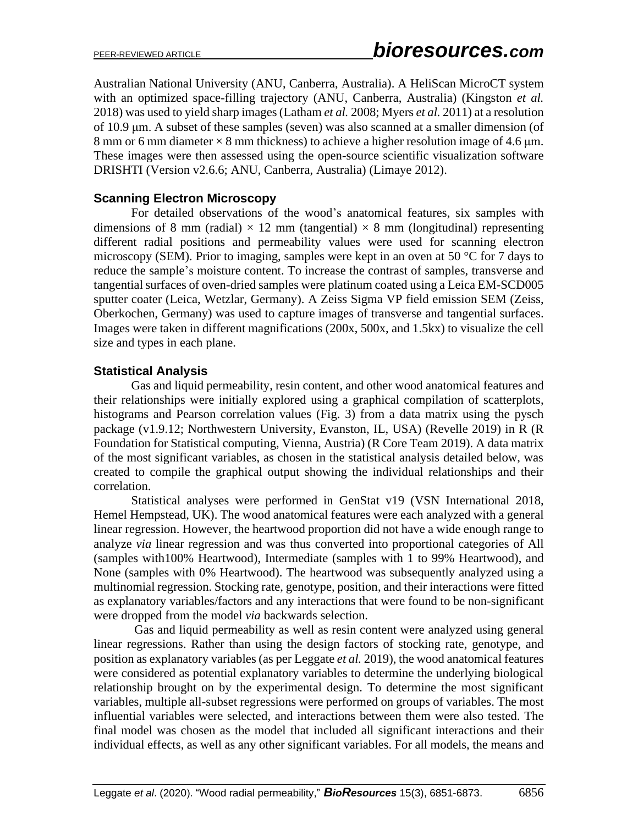Australian National University (ANU, Canberra, Australia). A HeliScan MicroCT system with an optimized space-filling trajectory (ANU, Canberra, Australia) (Kingston *et al.* 2018) was used to yield sharp images(Latham *et al.* 2008; Myers *et al.* 2011) at a resolution of 10.9 μm. A subset of these samples (seven) was also scanned at a smaller dimension (of 8 mm or 6 mm diameter × 8 mm thickness) to achieve a higher resolution image of 4.6 μm. These images were then assessed using the open-source scientific visualization software DRISHTI (Version v2.6.6; ANU, Canberra, Australia) (Limaye 2012).

### **Scanning Electron Microscopy**

For detailed observations of the wood's anatomical features, six samples with dimensions of 8 mm (radial)  $\times$  12 mm (tangential)  $\times$  8 mm (longitudinal) representing different radial positions and permeability values were used for scanning electron microscopy (SEM). Prior to imaging, samples were kept in an oven at 50 °C for 7 days to reduce the sample's moisture content. To increase the contrast of samples, transverse and tangential surfaces of oven-dried samples were platinum coated using a Leica EM-SCD005 sputter coater (Leica, Wetzlar, Germany). A Zeiss Sigma VP field emission SEM (Zeiss, Oberkochen, Germany) was used to capture images of transverse and tangential surfaces. Images were taken in different magnifications (200x, 500x, and 1.5kx) to visualize the cell size and types in each plane.

## **Statistical Analysis**

Gas and liquid permeability, resin content, and other wood anatomical features and their relationships were initially explored using a graphical compilation of scatterplots, histograms and Pearson correlation values (Fig. 3) from a data matrix using the pysch package (v1.9.12; Northwestern University, Evanston, IL, USA) (Revelle 2019) in R (R Foundation for Statistical computing, Vienna, Austria) (R Core Team 2019). A data matrix of the most significant variables, as chosen in the statistical analysis detailed below, was created to compile the graphical output showing the individual relationships and their correlation.

Statistical analyses were performed in GenStat v19 (VSN International 2018, Hemel Hempstead, UK). The wood anatomical features were each analyzed with a general linear regression. However, the heartwood proportion did not have a wide enough range to analyze *via* linear regression and was thus converted into proportional categories of All (samples with100% Heartwood), Intermediate (samples with 1 to 99% Heartwood), and None (samples with 0% Heartwood). The heartwood was subsequently analyzed using a multinomial regression. Stocking rate, genotype, position, and their interactions were fitted as explanatory variables/factors and any interactions that were found to be non-significant were dropped from the model *via* backwards selection.

 Gas and liquid permeability as well as resin content were analyzed using general linear regressions. Rather than using the design factors of stocking rate, genotype, and position as explanatory variables (as per Leggate *et al.* 2019), the wood anatomical features were considered as potential explanatory variables to determine the underlying biological relationship brought on by the experimental design. To determine the most significant variables, multiple all-subset regressions were performed on groups of variables. The most influential variables were selected, and interactions between them were also tested. The final model was chosen as the model that included all significant interactions and their individual effects, as well as any other significant variables. For all models, the means and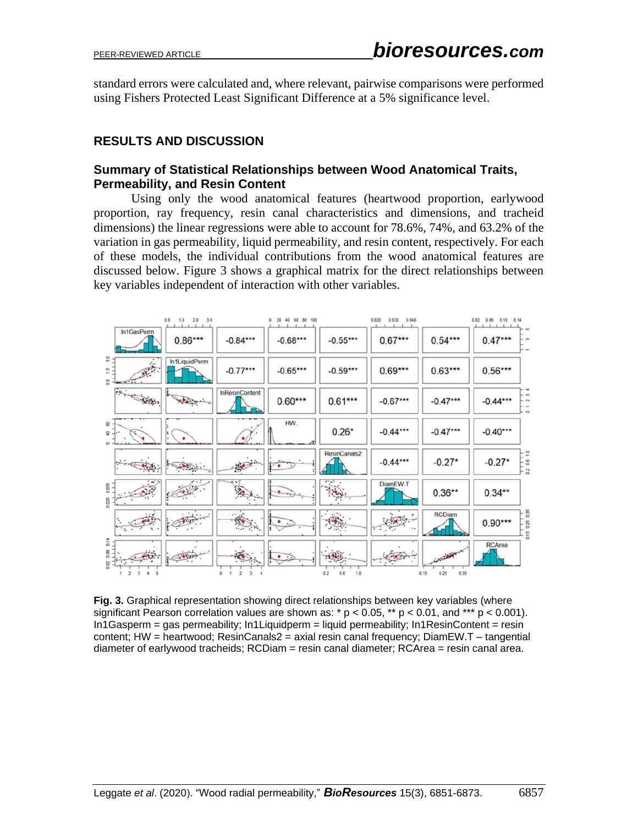standard errors were calculated and, where relevant, pairwise comparisons were performed using Fishers Protected Least Significant Difference at a 5% significance level.

## **RESULTS AND DISCUSSION**

#### **Summary of Statistical Relationships between Wood Anatomical Traits, Permeability, and Resin Content**

Using only the wood anatomical features (heartwood proportion, earlywood proportion, ray frequency, resin canal characteristics and dimensions, and tracheid dimensions) the linear regressions were able to account for 78.6%, 74%, and 63.2% of the variation in gas permeability, liquid permeability, and resin content, respectively. For each of these models, the individual contributions from the wood anatomical features are discussed below. Figure 3 shows a graphical matrix for the direct relationships between key variables independent of interaction with other variables.



**Fig. 3.** Graphical representation showing direct relationships between key variables (where significant Pearson correlation values are shown as:  $* p < 0.05$ ,  $** p < 0.01$ , and  $*** p < 0.001$ ). In1Gasperm = gas permeability; In1Liquidperm = liquid permeability; In1ResinContent = resin content; HW = heartwood; ResinCanals2 = axial resin canal frequency; DiamEW.T – tangential diameter of earlywood tracheids; RCDiam = resin canal diameter; RCArea = resin canal area.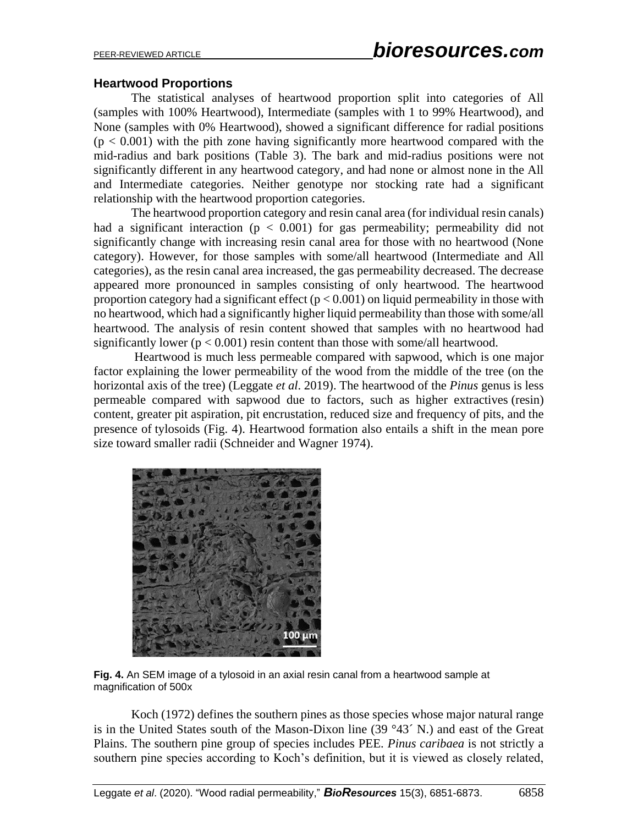#### **Heartwood Proportions**

The statistical analyses of heartwood proportion split into categories of All (samples with 100% Heartwood), Intermediate (samples with 1 to 99% Heartwood), and None (samples with 0% Heartwood), showed a significant difference for radial positions  $(p < 0.001)$  with the pith zone having significantly more heartwood compared with the mid-radius and bark positions (Table 3). The bark and mid-radius positions were not significantly different in any heartwood category, and had none or almost none in the All and Intermediate categories. Neither genotype nor stocking rate had a significant relationship with the heartwood proportion categories.

The heartwood proportion category and resin canal area (for individual resin canals) had a significant interaction ( $p < 0.001$ ) for gas permeability; permeability did not significantly change with increasing resin canal area for those with no heartwood (None category). However, for those samples with some/all heartwood (Intermediate and All categories), as the resin canal area increased, the gas permeability decreased. The decrease appeared more pronounced in samples consisting of only heartwood. The heartwood proportion category had a significant effect ( $p < 0.001$ ) on liquid permeability in those with no heartwood, which had a significantly higher liquid permeability than those with some/all heartwood. The analysis of resin content showed that samples with no heartwood had significantly lower ( $p < 0.001$ ) resin content than those with some/all heartwood.

Heartwood is much less permeable compared with sapwood, which is one major factor explaining the lower permeability of the wood from the middle of the tree (on the horizontal axis of the tree) (Leggate *et al*. 2019). The heartwood of the *Pinus* genus is less permeable compared with sapwood due to factors, such as higher extractives (resin) content, greater pit aspiration, pit encrustation, reduced size and frequency of pits, and the presence of tylosoids (Fig. 4). Heartwood formation also entails a shift in the mean pore size toward smaller radii (Schneider and Wagner 1974).





Koch (1972) defines the southern pines as those species whose major natural range is in the United States south of the Mason-Dixon line  $(39°43' N)$  and east of the Great Plains. The southern pine group of species includes PEE. *Pinus caribaea* is not strictly a southern pine species according to Koch's definition, but it is viewed as closely related,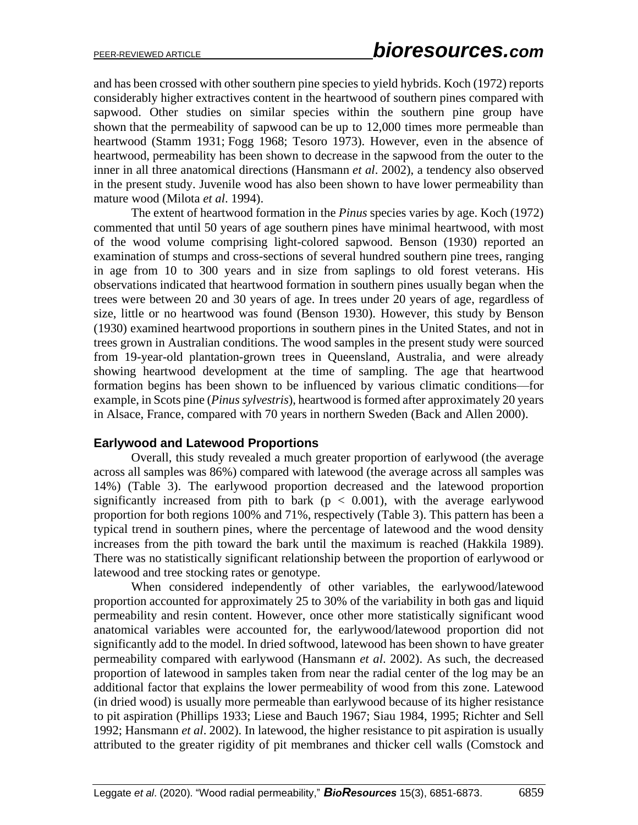and has been crossed with other southern pine species to yield hybrids. Koch (1972) reports considerably higher extractives content in the heartwood of southern pines compared with sapwood. Other studies on similar species within the southern pine group have shown that the permeability of sapwood can be up to 12,000 times more permeable than heartwood (Stamm 1931; Fogg 1968; Tesoro 1973). However, even in the absence of heartwood, permeability has been shown to decrease in the sapwood from the outer to the inner in all three anatomical directions (Hansmann *et al*. 2002), a tendency also observed in the present study. Juvenile wood has also been shown to have lower permeability than mature wood (Milota *et al*. 1994).

The extent of heartwood formation in the *Pinus* species varies by age. Koch (1972) commented that until 50 years of age southern pines have minimal heartwood, with most of the wood volume comprising light-colored sapwood. Benson (1930) reported an examination of stumps and cross-sections of several hundred southern pine trees, ranging in age from 10 to 300 years and in size from saplings to old forest veterans. His observations indicated that heartwood formation in southern pines usually began when the trees were between 20 and 30 years of age. In trees under 20 years of age, regardless of size, little or no heartwood was found (Benson 1930). However, this study by Benson (1930) examined heartwood proportions in southern pines in the United States, and not in trees grown in Australian conditions. The wood samples in the present study were sourced from 19-year-old plantation-grown trees in Queensland, Australia, and were already showing heartwood development at the time of sampling. The age that heartwood formation begins has been shown to be influenced by various climatic conditions—for example, in Scots pine (*Pinus sylvestris*), heartwood is formed after approximately 20 years in Alsace, France, compared with 70 years in northern Sweden (Back and Allen 2000).

#### **Earlywood and Latewood Proportions**

Overall, this study revealed a much greater proportion of earlywood (the average across all samples was 86%) compared with latewood (the average across all samples was 14%) (Table 3). The earlywood proportion decreased and the latewood proportion significantly increased from pith to bark ( $p < 0.001$ ), with the average earlywood proportion for both regions 100% and 71%, respectively (Table 3). This pattern has been a typical trend in southern pines, where the percentage of latewood and the wood density increases from the pith toward the bark until the maximum is reached (Hakkila 1989). There was no statistically significant relationship between the proportion of earlywood or latewood and tree stocking rates or genotype.

When considered independently of other variables, the earlywood/latewood proportion accounted for approximately 25 to 30% of the variability in both gas and liquid permeability and resin content. However, once other more statistically significant wood anatomical variables were accounted for, the earlywood/latewood proportion did not significantly add to the model. In dried softwood, latewood has been shown to have greater permeability compared with earlywood (Hansmann *et al*. 2002). As such, the decreased proportion of latewood in samples taken from near the radial center of the log may be an additional factor that explains the lower permeability of wood from this zone. Latewood (in dried wood) is usually more permeable than earlywood because of its higher resistance to pit aspiration (Phillips 1933; Liese and Bauch 1967; Siau 1984, 1995; Richter and Sell 1992; Hansmann *et al*. 2002). In latewood, the higher resistance to pit aspiration is usually attributed to the greater rigidity of pit membranes and thicker cell walls (Comstock and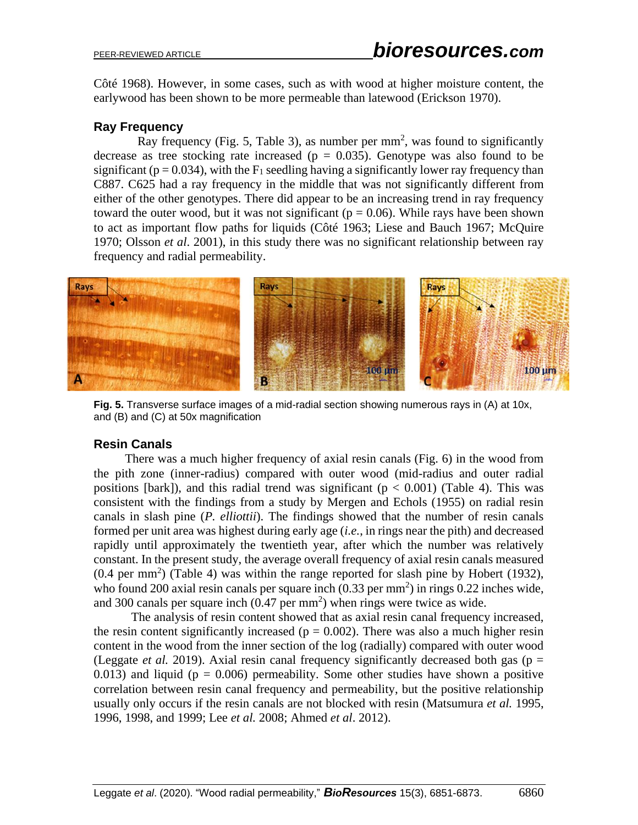Côté 1968). However, in some cases, such as with wood at higher moisture content, the earlywood has been shown to be more permeable than latewood (Erickson 1970).

### **Ray Frequency**

Ray frequency (Fig. 5, Table 3), as number per  $mm<sup>2</sup>$ , was found to significantly decrease as tree stocking rate increased ( $p = 0.035$ ). Genotype was also found to be significant ( $p = 0.034$ ), with the  $F_1$  seedling having a significantly lower ray frequency than C887. C625 had a ray frequency in the middle that was not significantly different from either of the other genotypes. There did appear to be an increasing trend in ray frequency toward the outer wood, but it was not significant ( $p = 0.06$ ). While rays have been shown to act as important flow paths for liquids (Côté 1963; Liese and Bauch 1967; McQuire 1970; Olsson *et al*. 2001), in this study there was no significant relationship between ray frequency and radial permeability.



**Fig. 5.** Transverse surface images of a mid-radial section showing numerous rays in (A) at 10x, and (B) and (C) at 50x magnification

## **Resin Canals**

 There was a much higher frequency of axial resin canals (Fig. 6) in the wood from the pith zone (inner-radius) compared with outer wood (mid-radius and outer radial positions [bark]), and this radial trend was significant ( $p < 0.001$ ) (Table 4). This was consistent with the findings from a study by Mergen and Echols (1955) on radial resin canals in slash pine (*P. elliottii*). The findings showed that the number of resin canals formed per unit area was highest during early age (*i.e.*, in rings near the pith) and decreased rapidly until approximately the twentieth year, after which the number was relatively constant. In the present study, the average overall frequency of axial resin canals measured  $(0.4 \text{ per mm}^2)$  (Table 4) was within the range reported for slash pine by Hobert (1932), who found 200 axial resin canals per square inch  $(0.33 \text{ per mm}^2)$  in rings  $0.22 \text{ inches wide}$ , and 300 canals per square inch  $(0.47 \text{ per mm}^2)$  when rings were twice as wide.

The analysis of resin content showed that as axial resin canal frequency increased, the resin content significantly increased ( $p = 0.002$ ). There was also a much higher resin content in the wood from the inner section of the log (radially) compared with outer wood (Leggate *et al.* 2019). Axial resin canal frequency significantly decreased both gas ( $p =$ 0.013) and liquid ( $p = 0.006$ ) permeability. Some other studies have shown a positive correlation between resin canal frequency and permeability, but the positive relationship usually only occurs if the resin canals are not blocked with resin (Matsumura *et al.* 1995, 1996, 1998, and 1999; Lee *et al.* 2008; Ahmed *et al*. 2012).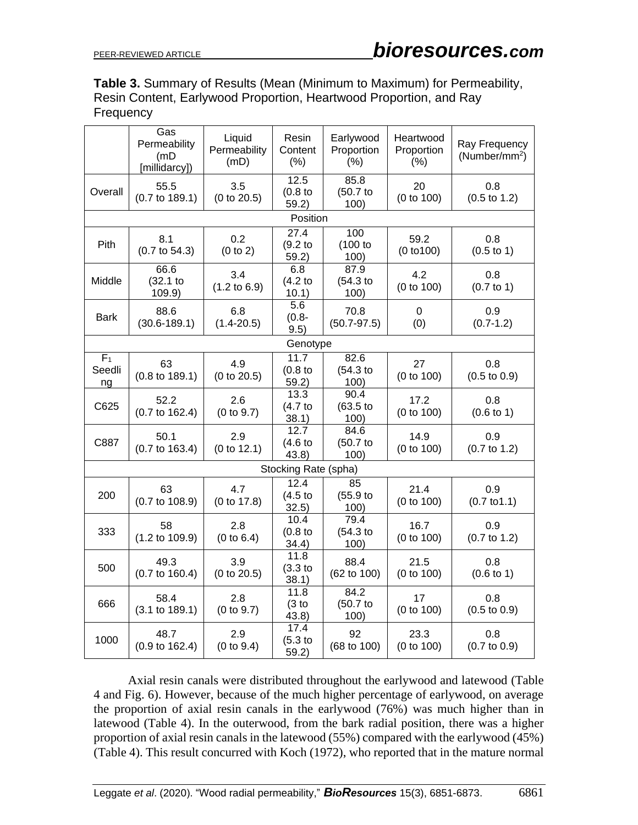**Table 3.** Summary of Results (Mean (Minimum to Maximum) for Permeability, Resin Content, Earlywood Proportion, Heartwood Proportion, and Ray **Frequency** 

|                                | Gas<br>Permeability<br>(mD<br>[millidarcy]) | Liquid<br>Permeability<br>(mD) | Resin<br>Content<br>(% )                           | Earlywood<br>Proportion<br>(% ) | Heartwood<br>Proportion<br>(% ) | Ray Frequency<br>$(Number/mm^2)$ |  |  |
|--------------------------------|---------------------------------------------|--------------------------------|----------------------------------------------------|---------------------------------|---------------------------------|----------------------------------|--|--|
| Overall                        | 55.5<br>$(0.7 \text{ to } 189.1)$           | 3.5<br>(0 to 20.5)             | 12.5<br>$(0.8)$ to<br>59.2)                        | 85.8<br>(50.7)<br>100)          | 20<br>(0 to 100)                | 0.8<br>$(0.5 \text{ to } 1.2)$   |  |  |
|                                |                                             |                                | Position                                           |                                 |                                 |                                  |  |  |
| Pith                           | 8.1<br>$(0.7 \text{ to } 54.3)$             | 0.2<br>(0 to 2)                | 27.4<br>(9.2 <sub>to</sub> )<br>59.2)              | 100<br>(100 to<br>100)          | 59.2<br>(0 to 100)              | 0.8<br>$(0.5 \text{ to } 1)$     |  |  |
| Middle                         | 66.6<br>(32.1)<br>109.9)                    | 3.4<br>$(1.2 \text{ to } 6.9)$ | 6.8<br>(4.2)<br>10.1)                              | 87.9<br>(54.3)<br>100)          | 4.2<br>(0 to 100)               | 0.8<br>$(0.7 \text{ to } 1)$     |  |  |
| <b>Bark</b>                    | 88.6<br>$(30.6 - 189.1)$                    | 6.8<br>$(1.4 - 20.5)$          | 5.6<br>$(0.8 -$<br>9.5)                            | 70.8<br>$(50.7 - 97.5)$         | 0<br>(0)                        | 0.9<br>$(0.7-1.2)$               |  |  |
| Genotype                       |                                             |                                |                                                    |                                 |                                 |                                  |  |  |
| F <sub>1</sub><br>Seedli<br>ng | 63<br>$(0.8 \text{ to } 189.1)$             | 4.9<br>(0 to 20.5)             | $\overline{1}1.7$<br>(0.8 <sub>to</sub> )<br>59.2) | 82.6<br>(54.3)<br>100)          | 27<br>(0 to 100)                | 0.8<br>$(0.5 \text{ to } 0.9)$   |  |  |
| C625                           | 52.2<br>$(0.7 \text{ to } 162.4)$           | 2.6<br>(0 to 9.7)              | 13.3<br>(4.7)<br>38.1)                             | 90.4<br>(63.5)<br>100)          | 17.2<br>(0 to 100)              | 0.8<br>$(0.6 \text{ to } 1)$     |  |  |
| C887                           | 50.1<br>$(0.7 \text{ to } 163.4)$           | 2.9<br>(0 to 12.1)             | 12.7<br>(4.6)<br>43.8)                             | 84.6<br>(50.7)<br>100)          | 14.9<br>(0 to 100)              | 0.9<br>$(0.7 \text{ to } 1.2)$   |  |  |
|                                |                                             |                                | Stocking Rate (spha)                               |                                 |                                 |                                  |  |  |
| 200                            | 63<br>$(0.7 \text{ to } 108.9)$             | 4.7<br>(0 to 17.8)             | 12.4<br>(4.5 <sub>to</sub> )<br>32.5)              | 85<br>(55.9)<br>100)            | 21.4<br>(0 to 100)              | 0.9<br>$(0.7 \text{ to } 1.1)$   |  |  |
| 333                            | 58<br>$(1.2 \text{ to } 109.9)$             | 2.8<br>(0 to 6.4)              | 10.4<br>$(0.8)$ to<br>34.4)                        | 79.4<br>(54.3)<br>100)          | 16.7<br>(0 to 100)              | 0.9<br>$(0.7 \text{ to } 1.2)$   |  |  |
| 500                            | 49.3<br>$(0.7 \text{ to } 160.4)$           | 3.9<br>(0 to 20.5)             | 11.8<br>$(3.3)$ to<br>38.1)                        | 88.4<br>(62 to 100)             | 21.5<br>(0 to 100)              | 0.8<br>$(0.6 \text{ to } 1)$     |  |  |
| 666                            | 58.4<br>$(3.1 \text{ to } 189.1)$           | 2.8<br>(0 to 9.7)              | 11.8<br>(3 to<br>43.8)                             | 84.2<br>(50.7)<br>100)          | 17<br>(0 to 100)                | 0.8<br>$(0.5 \text{ to } 0.9)$   |  |  |
| 1000                           | 48.7<br>$(0.9 \text{ to } 162.4)$           | 2.9<br>(0 to 9.4)              | 17.4<br>(5.3)<br>59.2)                             | 92<br>(68 to 100)               | 23.3<br>(0 to 100)              | 0.8<br>$(0.7 \text{ to } 0.9)$   |  |  |

 Axial resin canals were distributed throughout the earlywood and latewood (Table 4 and Fig. 6). However, because of the much higher percentage of earlywood, on average the proportion of axial resin canals in the earlywood (76%) was much higher than in latewood (Table 4). In the outerwood, from the bark radial position, there was a higher proportion of axial resin canals in the latewood (55%) compared with the earlywood (45%) (Table 4). This result concurred with Koch (1972), who reported that in the mature normal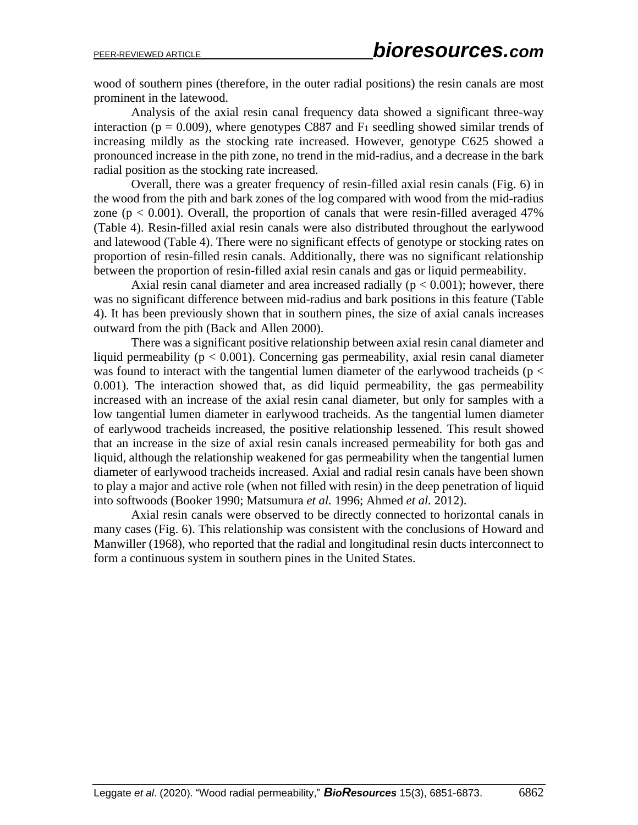wood of southern pines (therefore, in the outer radial positions) the resin canals are most prominent in the latewood.

Analysis of the axial resin canal frequency data showed a significant three-way interaction ( $p = 0.009$ ), where genotypes C887 and  $F_1$  seedling showed similar trends of increasing mildly as the stocking rate increased. However, genotype C625 showed a pronounced increase in the pith zone, no trend in the mid-radius, and a decrease in the bark radial position as the stocking rate increased.

Overall, there was a greater frequency of resin-filled axial resin canals (Fig. 6) in the wood from the pith and bark zones of the log compared with wood from the mid-radius zone ( $p < 0.001$ ). Overall, the proportion of canals that were resin-filled averaged 47% (Table 4). Resin-filled axial resin canals were also distributed throughout the earlywood and latewood (Table 4). There were no significant effects of genotype or stocking rates on proportion of resin-filled resin canals. Additionally, there was no significant relationship between the proportion of resin-filled axial resin canals and gas or liquid permeability.

Axial resin canal diameter and area increased radially ( $p < 0.001$ ); however, there was no significant difference between mid-radius and bark positions in this feature (Table 4). It has been previously shown that in southern pines, the size of axial canals increases outward from the pith (Back and Allen 2000).

There was a significant positive relationship between axial resin canal diameter and liquid permeability ( $p < 0.001$ ). Concerning gas permeability, axial resin canal diameter was found to interact with the tangential lumen diameter of the earlywood tracheids ( $p <$ 0.001). The interaction showed that, as did liquid permeability, the gas permeability increased with an increase of the axial resin canal diameter, but only for samples with a low tangential lumen diameter in earlywood tracheids. As the tangential lumen diameter of earlywood tracheids increased, the positive relationship lessened. This result showed that an increase in the size of axial resin canals increased permeability for both gas and liquid, although the relationship weakened for gas permeability when the tangential lumen diameter of earlywood tracheids increased. Axial and radial resin canals have been shown to play a major and active role (when not filled with resin) in the deep penetration of liquid into softwoods (Booker 1990; Matsumura *et al.* 1996; Ahmed *et al.* 2012).

Axial resin canals were observed to be directly connected to horizontal canals in many cases (Fig. 6). This relationship was consistent with the conclusions of Howard and Manwiller (1968), who reported that the radial and longitudinal resin ducts interconnect to form a continuous system in southern pines in the United States.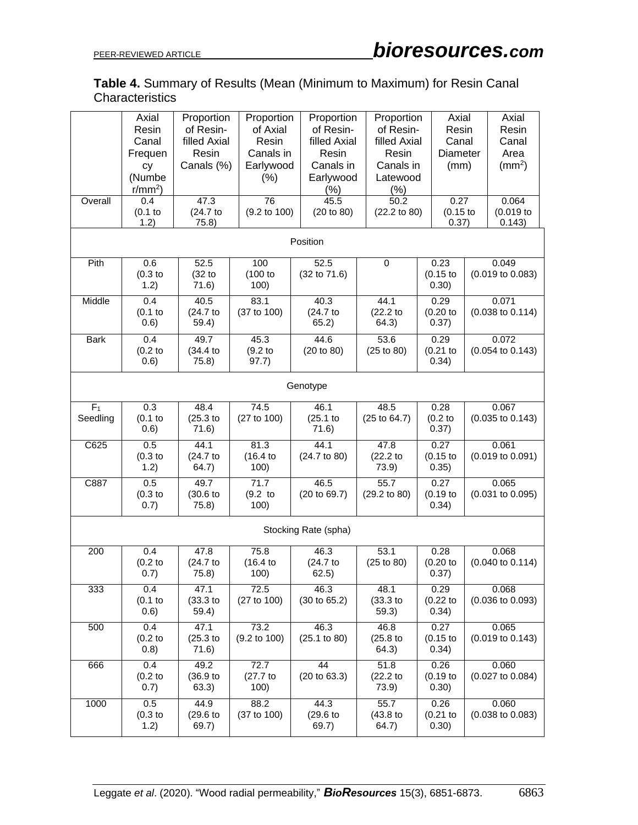## **Table 4.** Summary of Results (Mean (Minimum to Maximum) for Resin Canal **Characteristics**

| Overall                    | Axial<br>Resin<br>Canal<br>Frequen<br>cy<br>(Numbe<br>$r/mm2$ )<br>0.4<br>$(0.1$ to | Proportion<br>of Resin-<br>filled Axial<br>Resin<br>Canals (%)<br>47.3<br>(24.7 to | Proportion<br>of Axial<br>Resin<br>Canals in<br>Earlywood<br>(%)<br>76<br>$(9.2 \text{ to } 100)$ | Proportion<br>of Resin-<br>filled Axial<br>Resin<br>Canals in<br>Earlywood<br>(%)<br>45.5<br>(20 to 80) | Proportion<br>of Resin-<br>filled Axial<br>Resin<br>Canals in<br>Latewood<br>(% )<br>50.2<br>(22.2 to 80) | Axial<br>Resin<br>Canal<br>Diameter<br>(mm)<br>0.27<br>$(0.15$ to |  | Axial<br>Resin<br>Canal<br>Area<br>(mm <sup>2</sup> )<br>0.064<br>(0.019) |
|----------------------------|-------------------------------------------------------------------------------------|------------------------------------------------------------------------------------|---------------------------------------------------------------------------------------------------|---------------------------------------------------------------------------------------------------------|-----------------------------------------------------------------------------------------------------------|-------------------------------------------------------------------|--|---------------------------------------------------------------------------|
|                            | 1.2)                                                                                | 75.8)                                                                              |                                                                                                   | Position                                                                                                |                                                                                                           | 0.37)                                                             |  | 0.143)                                                                    |
| Pith                       | 0.6<br>$(0.3)$ to<br>1.2)                                                           | 52.5<br>(32 to<br>71.6)                                                            | 100<br>(100 to<br>100)                                                                            | 52.5<br>(32 to 71.6)                                                                                    | 0                                                                                                         | 0.23<br>$(0.15$ to<br>0.30)                                       |  | 0.049<br>$(0.019 \text{ to } 0.083)$                                      |
| Middle                     | 0.4<br>$(0.1$ to<br>(0.6)                                                           | 40.5<br>(24.7 to<br>59.4)                                                          | 83.1<br>(37 to 100)                                                                               | 40.3<br>(24.7 to<br>65.2)                                                                               | 44.1<br>(22.2 <sub>to</sub><br>64.3)                                                                      | 0.29<br>(0.20)<br>0.37)                                           |  | 0.071<br>$(0.038 \text{ to } 0.114)$                                      |
| <b>Bark</b>                | 0.4<br>(0.2 <sub>to</sub> )<br>0.6)                                                 | 49.7<br>(34.4)<br>75.8)                                                            | 45.3<br>(9.2)<br>97.7)                                                                            | 44.6<br>(20 to 80)                                                                                      | 53.6<br>(25 to 80)                                                                                        | 0.29<br>$(0.21$ to<br>0.34)                                       |  | 0.072<br>$(0.054 \text{ to } 0.143)$                                      |
| Genotype                   |                                                                                     |                                                                                    |                                                                                                   |                                                                                                         |                                                                                                           |                                                                   |  |                                                                           |
| F <sub>1</sub><br>Seedling | 0.3<br>$(0.1$ to<br>(0.6)                                                           | 48.4<br>(25.3)<br>71.6)                                                            | 74.5<br>(27 to 100)                                                                               | 46.1<br>(25.1)<br>71.6)                                                                                 | 48.5<br>$(25 \text{ to } 64.7)$                                                                           | 0.28<br>(0.2 <sub>to</sub> )<br>0.37)                             |  | 0.067<br>$(0.035$ to $0.143)$                                             |
| C625                       | 0.5<br>$(0.3)$ to<br>1.2)                                                           | 44.1<br>(24.7 to<br>64.7)                                                          | 81.3<br>(16.4)<br>100)                                                                            | 44.1<br>(24.7 to 80)                                                                                    | 47.8<br>(22.2 <sub>to</sub><br>73.9)                                                                      | 0.27<br>$(0.15$ to<br>0.35)                                       |  | 0.061<br>$(0.019 \text{ to } 0.091)$                                      |
| C887                       | 0.5<br>$(0.3)$ to<br>0.7)                                                           | 49.7<br>(30.6)<br>75.8)                                                            | 71.7<br>$(9.2)$ to<br>100)                                                                        | 46.5<br>(20 to 69.7)                                                                                    | 55.7<br>(29.2 to 80)                                                                                      | 0.27<br>$(0.19$ to<br>0.34)                                       |  | 0.065<br>$(0.031$ to $0.095)$                                             |
| Stocking Rate (spha)       |                                                                                     |                                                                                    |                                                                                                   |                                                                                                         |                                                                                                           |                                                                   |  |                                                                           |
| 200                        | 0.4<br>(0.2 <sub>to</sub> )<br>0.7)                                                 | 47.8<br>(24.7 to<br>75.8)                                                          | 75.8<br>(16.4)<br>100)                                                                            | 46.3<br>(24.7 to<br>62.5)                                                                               | 53.1<br>(25 to 80)                                                                                        | 0.28<br>(0.20)<br>0.37)                                           |  | 0.068<br>$(0.040 \text{ to } 0.114)$                                      |
| 333                        | 0.4<br>$(0.1)$ to<br>(0.6)                                                          | 47.1<br>$(33.3)$ to<br>59.4)                                                       | 72.5<br>(27 to 100)                                                                               | 46.3<br>(30 to 65.2)                                                                                    | 48.1<br>$(33.3)$ to<br>59.3)                                                                              | 0.29<br>$(0.22$ to<br>0.34)                                       |  | 0.068<br>$(0.036 \text{ to } 0.093)$                                      |
| 500                        | 0.4<br>$(0.2)$ to<br>(0.8)                                                          | 47.1<br>(25.3)<br>71.6)                                                            | 73.2<br>$(9.2 \text{ to } 100)$                                                                   | 46.3<br>(25.1 to 80)                                                                                    | 46.8<br>$(25.8)$ to<br>64.3)                                                                              | 0.27<br>$(0.15)$ to<br>0.34)                                      |  | 0.065<br>$(0.019 \text{ to } 0.143)$                                      |
| 666                        | 0.4<br>$(0.2)$ to<br>0.7)                                                           | 49.2<br>(36.9)<br>63.3)                                                            | 72.7<br>$(27.7)$ to<br>100)                                                                       | 44<br>(20 to 63.3)                                                                                      | 51.8<br>$(22.2)$ to<br>73.9)                                                                              | 0.26<br>$(0.19)$ to<br>0.30)                                      |  | 0.060<br>$(0.027$ to $0.084)$                                             |
| 1000                       | 0.5<br>$(0.3)$ to<br>1.2)                                                           | 44.9<br>(29.6)<br>69.7)                                                            | 88.2<br>(37 to 100)                                                                               | 44.3<br>(29.6)<br>69.7)                                                                                 | 55.7<br>$(43.8)$ to<br>64.7)                                                                              | 0.26<br>$(0.21$ to<br>0.30)                                       |  | 0.060<br>$(0.038 \text{ to } 0.083)$                                      |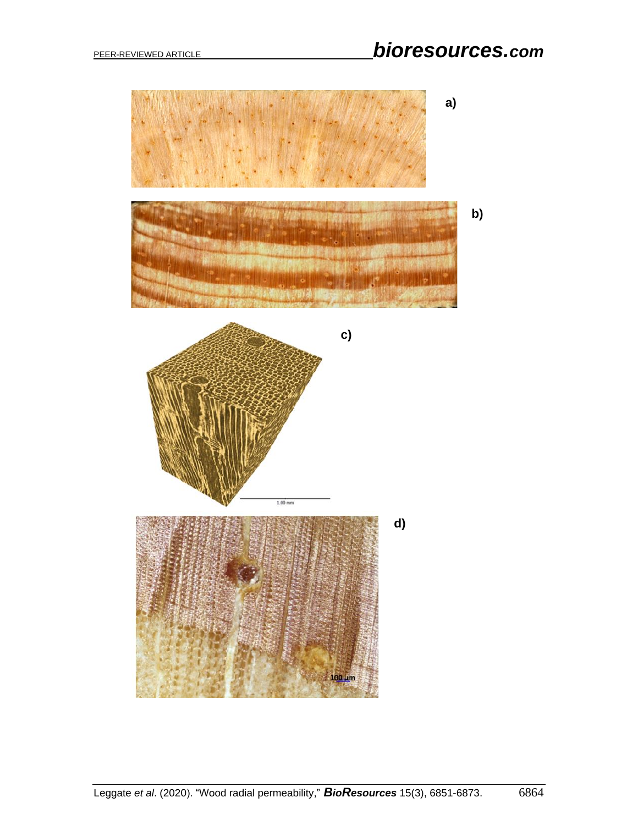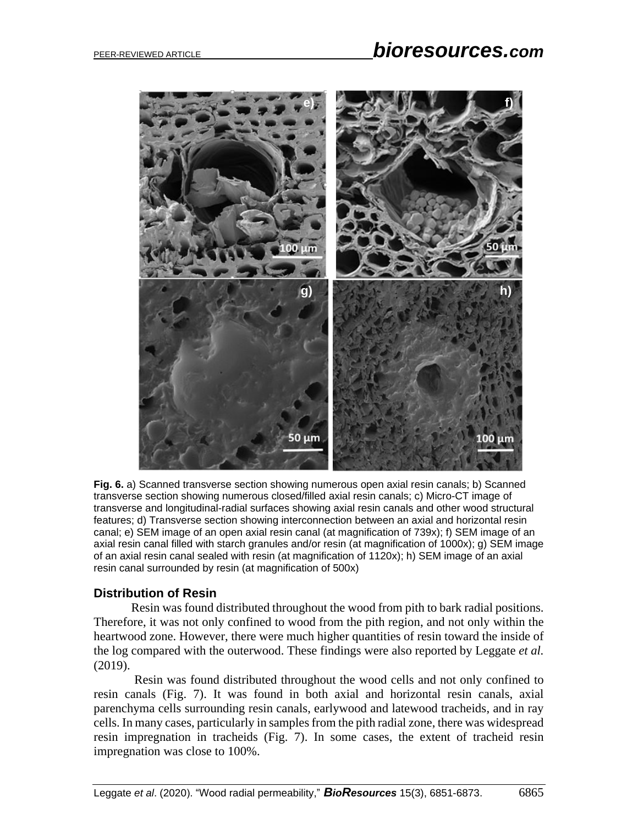

**Fig. 6.** a) Scanned transverse section showing numerous open axial resin canals; b) Scanned transverse section showing numerous closed/filled axial resin canals; c) Micro-CT image of transverse and longitudinal-radial surfaces showing axial resin canals and other wood structural features; d) Transverse section showing interconnection between an axial and horizontal resin canal; e) SEM image of an open axial resin canal (at magnification of 739x); f) SEM image of an axial resin canal filled with starch granules and/or resin (at magnification of 1000x); g) SEM image of an axial resin canal sealed with resin (at magnification of 1120x); h) SEM image of an axial resin canal surrounded by resin (at magnification of 500x)

#### **Distribution of Resin**

Resin was found distributed throughout the wood from pith to bark radial positions. Therefore, it was not only confined to wood from the pith region, and not only within the heartwood zone. However, there were much higher quantities of resin toward the inside of the log compared with the outerwood. These findings were also reported by Leggate *et al.* (2019).

Resin was found distributed throughout the wood cells and not only confined to resin canals (Fig. 7). It was found in both axial and horizontal resin canals, axial parenchyma cells surrounding resin canals, earlywood and latewood tracheids, and in ray cells. In many cases, particularly in samples from the pith radial zone, there was widespread resin impregnation in tracheids (Fig. 7). In some cases, the extent of tracheid resin impregnation was close to 100%.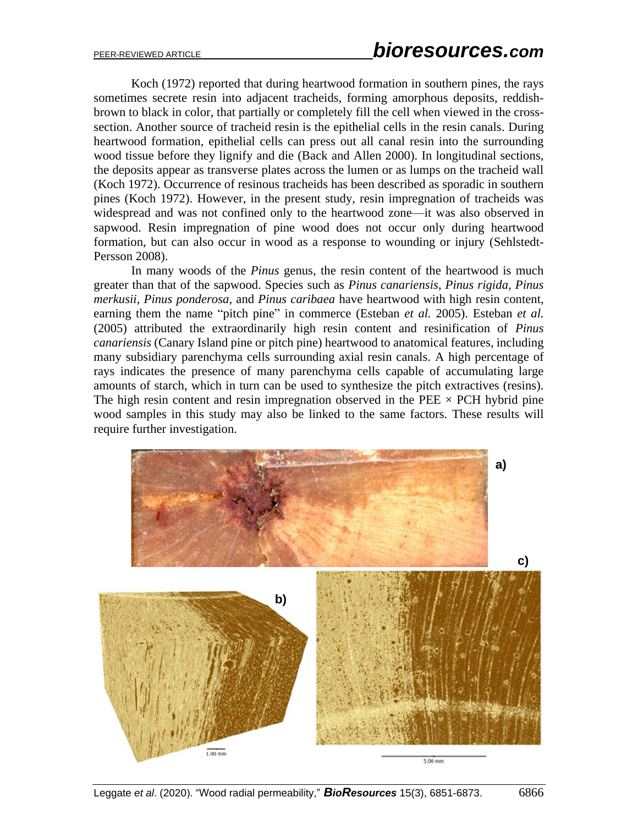Koch (1972) reported that during heartwood formation in southern pines, the rays sometimes secrete resin into adjacent tracheids, forming amorphous deposits, reddishbrown to black in color, that partially or completely fill the cell when viewed in the crosssection. Another source of tracheid resin is the epithelial cells in the resin canals. During heartwood formation, epithelial cells can press out all canal resin into the surrounding wood tissue before they lignify and die (Back and Allen 2000). In longitudinal sections, the deposits appear as transverse plates across the lumen or as lumps on the tracheid wall (Koch 1972). Occurrence of resinous tracheids has been described as sporadic in southern pines (Koch 1972). However, in the present study, resin impregnation of tracheids was widespread and was not confined only to the heartwood zone—it was also observed in sapwood. Resin impregnation of pine wood does not occur only during heartwood formation, but can also occur in wood as a response to wounding or injury (Sehlstedt-Persson 2008).

In many woods of the *Pinus* genus, the resin content of the heartwood is much greater than that of the sapwood. Species such as *Pinus canariensis*, *Pinus rigida*, *Pinus merkusii*, *Pinus ponderosa*, and *Pinus caribaea* have heartwood with high resin content, earning them the name "pitch pine" in commerce (Esteban *et al.* 2005). Esteban *et al.* (2005) attributed the extraordinarily high resin content and resinification of *Pinus canariensis* (Canary Island pine or pitch pine) heartwood to anatomical features, including many subsidiary parenchyma cells surrounding axial resin canals. A high percentage of rays indicates the presence of many parenchyma cells capable of accumulating large amounts of starch, which in turn can be used to synthesize the pitch extractives (resins). The high resin content and resin impregnation observed in the PEE  $\times$  PCH hybrid pine wood samples in this study may also be linked to the same factors. These results will require further investigation.

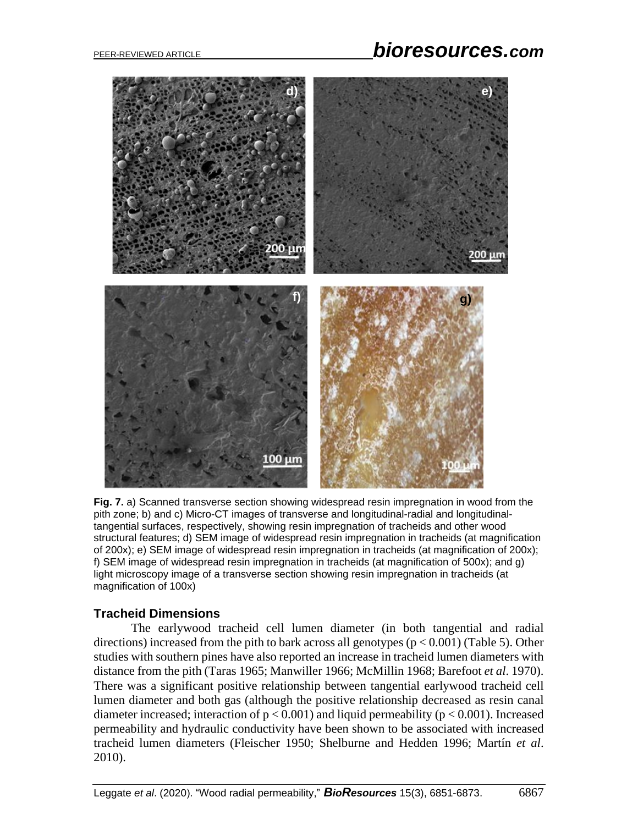# PEER-REVIEWED ARTICLE *bioresources.com*



**Fig. 7.** a) Scanned transverse section showing widespread resin impregnation in wood from the pith zone; b) and c) Micro-CT images of transverse and longitudinal-radial and longitudinaltangential surfaces, respectively, showing resin impregnation of tracheids and other wood structural features; d) SEM image of widespread resin impregnation in tracheids (at magnification of 200x); e) SEM image of widespread resin impregnation in tracheids (at magnification of 200x); f) SEM image of widespread resin impregnation in tracheids (at magnification of 500x); and g) light microscopy image of a transverse section showing resin impregnation in tracheids (at magnification of 100x)

## **Tracheid Dimensions**

The earlywood tracheid cell lumen diameter (in both tangential and radial directions) increased from the pith to bark across all genotypes ( $p < 0.001$ ) (Table 5). Other studies with southern pines have also reported an increase in tracheid lumen diameters with distance from the pith (Taras 1965; Manwiller 1966; McMillin 1968; Barefoot *et al*. 1970). There was a significant positive relationship between tangential earlywood tracheid cell lumen diameter and both gas (although the positive relationship decreased as resin canal diameter increased; interaction of  $p < 0.001$ ) and liquid permeability ( $p < 0.001$ ). Increased permeability and hydraulic conductivity have been shown to be associated with increased tracheid lumen diameters (Fleischer 1950; Shelburne and Hedden 1996; Martín *et al*. 2010).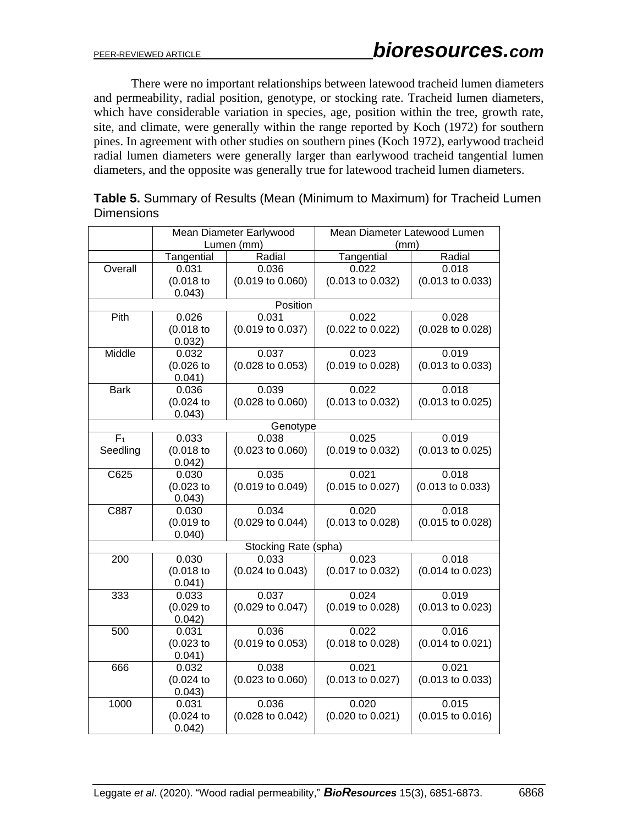There were no important relationships between latewood tracheid lumen diameters and permeability, radial position, genotype, or stocking rate. Tracheid lumen diameters, which have considerable variation in species, age, position within the tree, growth rate, site, and climate, were generally within the range reported by Koch (1972) for southern pines. In agreement with other studies on southern pines (Koch 1972), earlywood tracheid radial lumen diameters were generally larger than earlywood tracheid tangential lumen diameters, and the opposite was generally true for latewood tracheid lumen diameters.

| Table 5. Summary of Results (Mean (Minimum to Maximum) for Tracheid Lumen |  |
|---------------------------------------------------------------------------|--|
| <b>Dimensions</b>                                                         |  |
|                                                                           |  |

|                      |                       | Mean Diameter Earlywood     | Mean Diameter Latewood Lumen |                             |  |  |  |
|----------------------|-----------------------|-----------------------------|------------------------------|-----------------------------|--|--|--|
|                      |                       | Lumen (mm)                  | (mm)                         |                             |  |  |  |
|                      | Tangential            | Radial                      | Tangential                   | Radial                      |  |  |  |
| Overall              | 0.031                 | 0.036                       | 0.022                        | 0.018                       |  |  |  |
|                      | $(0.018$ to           | $(0.019 \text{ to } 0.060)$ | $(0.013 \text{ to } 0.032)$  | $(0.013 \text{ to } 0.033)$ |  |  |  |
|                      | 0.043)                | Position                    |                              |                             |  |  |  |
|                      |                       |                             |                              |                             |  |  |  |
| Pith                 | 0.026                 | 0.031                       | 0.022                        | 0.028                       |  |  |  |
|                      | (0.018)               | (0.019 to 0.037)            | (0.022 to 0.022)             | (0.028 to 0.028)            |  |  |  |
|                      | 0.032)                |                             |                              |                             |  |  |  |
| Middle               | 0.032                 | 0.037                       | 0.023                        | 0.019                       |  |  |  |
|                      | (0.026)               | $(0.028 \text{ to } 0.053)$ | (0.019 to 0.028)             | $(0.013 \text{ to } 0.033)$ |  |  |  |
|                      | 0.041)                |                             |                              |                             |  |  |  |
| <b>Bark</b>          | 0.036                 | 0.039                       | 0.022                        | 0.018                       |  |  |  |
|                      | (0.024)               | $(0.028 \text{ to } 0.060)$ | $(0.013 \text{ to } 0.032)$  | $(0.013 \text{ to } 0.025)$ |  |  |  |
|                      | 0.043)                |                             |                              |                             |  |  |  |
|                      |                       | Genotype                    |                              |                             |  |  |  |
| F <sub>1</sub>       | 0.033                 | 0.038                       | 0.025                        | 0.019                       |  |  |  |
| Seedling             | $(0.018$ to<br>0.042) | $(0.023$ to $0.060)$        | (0.019 to 0.032)             | (0.013 to 0.025)            |  |  |  |
| C625                 | 0.030                 | 0.035                       | 0.021                        | 0.018                       |  |  |  |
|                      | (0.023)               | (0.019 to 0.049)            | $(0.015 \text{ to } 0.027)$  | $(0.013 \text{ to } 0.033)$ |  |  |  |
|                      | 0.043)                |                             |                              |                             |  |  |  |
| C887                 | 0.030                 | 0.034                       | 0.020                        | 0.018                       |  |  |  |
|                      | (0.019)               | $(0.029$ to $0.044)$        | (0.013 to 0.028)             | (0.015 to 0.028)            |  |  |  |
|                      | 0.040)                |                             |                              |                             |  |  |  |
| Stocking Rate (spha) |                       |                             |                              |                             |  |  |  |
| 200                  | 0.030                 | 0.033                       | 0.023                        | 0.018                       |  |  |  |
|                      | (0.018)               | $(0.024 \text{ to } 0.043)$ | (0.017 to 0.032)             | (0.014 to 0.023)            |  |  |  |
|                      | 0.041)                |                             |                              |                             |  |  |  |
| 333                  | 0.033                 | 0.037                       | 0.024                        | 0.019                       |  |  |  |
|                      | (0.029)               | $(0.029 \text{ to } 0.047)$ | $(0.019 \text{ to } 0.028)$  | $(0.013 \text{ to } 0.023)$ |  |  |  |
|                      | 0.042)                |                             |                              |                             |  |  |  |
| 500                  | 0.031                 | 0.036                       | 0.022                        | 0.016                       |  |  |  |
|                      | (0.023)               | (0.019 to 0.053)            | (0.018 to 0.028)             | $(0.014 \text{ to } 0.021)$ |  |  |  |
|                      | 0.041)                |                             |                              |                             |  |  |  |
| 666                  | 0.032                 | 0.038                       | 0.021                        | 0.021                       |  |  |  |
|                      | (0.024)               | $(0.023$ to $0.060)$        | (0.013 to 0.027)             | (0.013 to 0.033)            |  |  |  |
| 1000                 | 0.043)                | 0.036                       | 0.020                        | 0.015                       |  |  |  |
|                      | 0.031                 |                             |                              |                             |  |  |  |
|                      | (0.024)               | $(0.028 \text{ to } 0.042)$ | $(0.020 \text{ to } 0.021)$  | $(0.015 \text{ to } 0.016)$ |  |  |  |
|                      | 0.042)                |                             |                              |                             |  |  |  |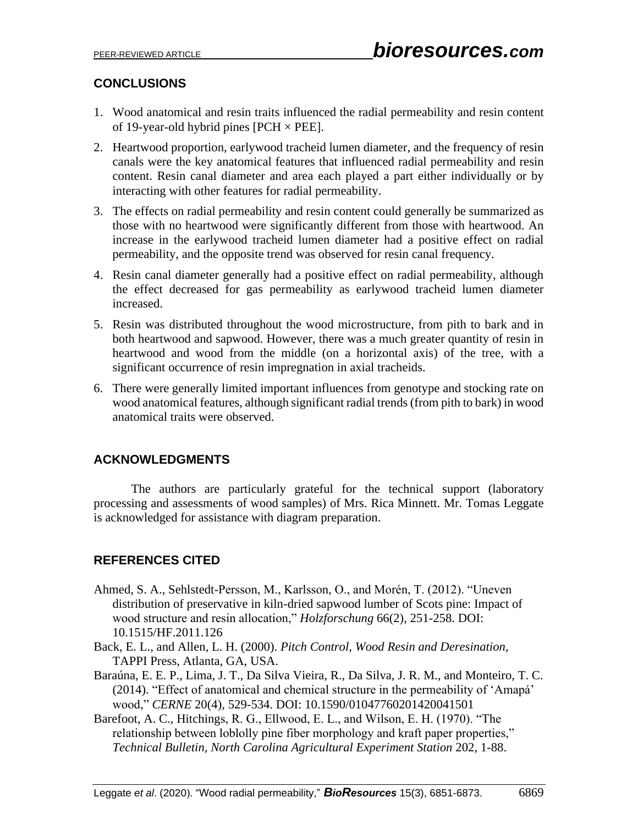# **CONCLUSIONS**

- 1. Wood anatomical and resin traits influenced the radial permeability and resin content of 19-year-old hybrid pines  $[PCH \times PEE]$ .
- 2. Heartwood proportion, earlywood tracheid lumen diameter, and the frequency of resin canals were the key anatomical features that influenced radial permeability and resin content. Resin canal diameter and area each played a part either individually or by interacting with other features for radial permeability.
- 3. The effects on radial permeability and resin content could generally be summarized as those with no heartwood were significantly different from those with heartwood. An increase in the earlywood tracheid lumen diameter had a positive effect on radial permeability, and the opposite trend was observed for resin canal frequency.
- 4. Resin canal diameter generally had a positive effect on radial permeability, although the effect decreased for gas permeability as earlywood tracheid lumen diameter increased.
- 5. Resin was distributed throughout the wood microstructure, from pith to bark and in both heartwood and sapwood. However, there was a much greater quantity of resin in heartwood and wood from the middle (on a horizontal axis) of the tree, with a significant occurrence of resin impregnation in axial tracheids.
- 6. There were generally limited important influences from genotype and stocking rate on wood anatomical features, although significant radial trends (from pith to bark) in wood anatomical traits were observed.

# **ACKNOWLEDGMENTS**

The authors are particularly grateful for the technical support (laboratory processing and assessments of wood samples) of Mrs. Rica Minnett. Mr. Tomas Leggate is acknowledged for assistance with diagram preparation.

# **REFERENCES CITED**

- Ahmed, S. A., Sehlstedt-Persson, M., Karlsson, O., and Morén, T. (2012). "Uneven distribution of preservative in kiln-dried sapwood lumber of Scots pine: Impact of wood structure and resin allocation," *Holzforschung* 66(2), 251-258. DOI: 10.1515/HF.2011.126
- Back, E. L., and Allen, L. H. (2000). *Pitch Control, Wood Resin and Deresination*, TAPPI Press, Atlanta, GA, USA.
- Baraúna, E. E. P., Lima, J. T., Da Silva Vieira, R., Da Silva, J. R. M., and Monteiro, T. C. (2014). "Effect of anatomical and chemical structure in the permeability of 'Amapá' wood," *CERNE* 20(4), 529-534. DOI: 10.1590/01047760201420041501
- Barefoot, A. C., Hitchings, R. G., Ellwood, E. L., and Wilson, E. H. (1970). "The relationship between loblolly pine fiber morphology and kraft paper properties," *Technical Bulletin, North Carolina Agricultural Experiment Station* 202, 1-88.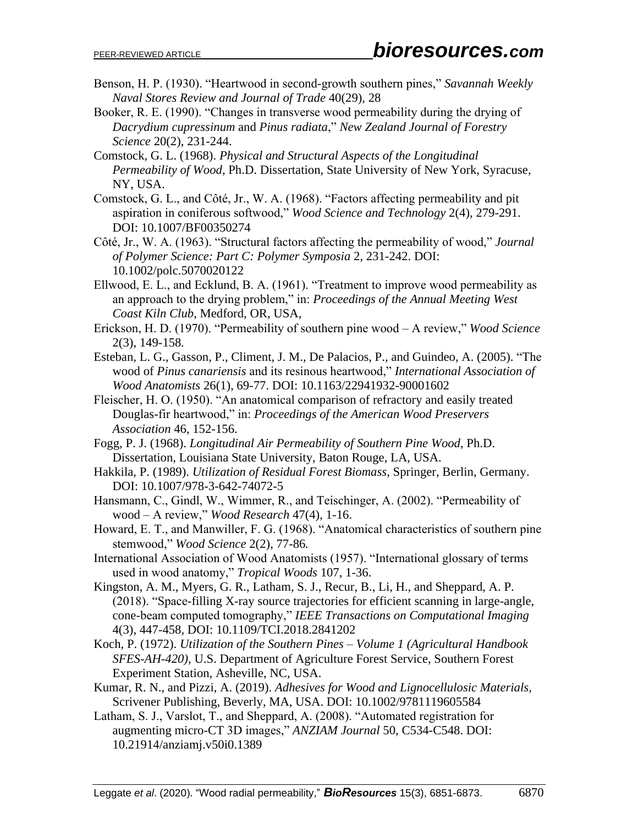- Benson, H. P. (1930). "Heartwood in second-growth southern pines," *Savannah Weekly Naval Stores Review and Journal of Trade* 40(29), 28
- Booker, R. E. (1990). "Changes in transverse wood permeability during the drying of *Dacrydium cupressinum* and *Pinus radiata*," *New Zealand Journal of Forestry Science* 20(2), 231-244.
- Comstock, G. L. (1968). *Physical and Structural Aspects of the Longitudinal Permeability of Wood*, Ph.D. Dissertation, State University of New York, Syracuse, NY, USA.
- Comstock, G. L., and Côté, Jr., W. A. (1968). "Factors affecting permeability and pit aspiration in coniferous softwood," *Wood Science and Technology* 2(4), 279-291. [DOI: 10.1007/BF00350274](https://doi.org/10.1007/BF00350274)
- Côté, Jr., W. A. (1963). "Structural factors affecting the permeability of wood," *Journal of Polymer Science: Part C: Polymer Symposia* 2, 231-242. DOI: 10.1002/polc.5070020122
- Ellwood, E. L., and Ecklund, B. A. (1961). "Treatment to improve wood permeability as an approach to the drying problem," in: *Proceedings of the Annual Meeting West Coast Kiln Club*, Medford, OR, USA,
- Erickson, H. D. (1970). "Permeability of southern pine wood A review," *Wood Science* 2(3), 149-158*.*
- Esteban, L. G., Gasson, P., Climent, J. M., De Palacios, P., and Guindeo, A. (2005). "The wood of *Pinus canariensis* and its resinous heartwood," *International Association of Wood Anatomists* 26(1), 69-77. DOI: 10.1163/22941932-90001602
- Fleischer, H. O. (1950). "An anatomical comparison of refractory and easily treated Douglas-fir heartwood," in: *Proceedings of the American Wood Preservers Association* 46, 152-156.
- Fogg, P. J. (1968). *Longitudinal Air Permeability of Southern Pine Wood*, Ph.D. Dissertation, Louisiana State University, Baton Rouge, LA, USA.
- Hakkila, P. (1989). *Utilization of Residual Forest Biomass*, Springer, Berlin, Germany. DOI: 10.1007/978-3-642-74072-5
- Hansmann, C., Gindl, W., Wimmer, R., and Teischinger, A. (2002). "Permeability of wood – A review," *Wood Research* 47(4), 1-16.
- Howard, E. T., and Manwiller, F. G. (1968). "Anatomical characteristics of southern pine stemwood," *Wood Science* 2(2), 77-86*.*
- International Association of Wood Anatomists (1957). "International glossary of terms used in wood anatomy," *Tropical Woods* 107, 1-36.
- Kingston, A. M., Myers, G. R., Latham, S. J., Recur, B., Li, H., and Sheppard, A. P. (2018). "Space-filling X-ray source trajectories for efficient scanning in large-angle, cone-beam computed tomography," *IEEE Transactions on Computational Imaging* 4(3), 447-458, DOI: 10.1109/TCI.2018.2841202
- Koch, P. (1972). *Utilization of the Southern Pines Volume 1 (Agricultural Handbook SFES-AH-420)*, U.S. Department of Agriculture Forest Service, Southern Forest Experiment Station, Asheville, NC, USA.
- Kumar, R. N., and Pizzi, A. (2019). *Adhesives for Wood and Lignocellulosic Materials*, Scrivener Publishing, Beverly, MA, USA. DOI: 10.1002/9781119605584
- Latham, S. J., Varslot, T., and Sheppard, A. (2008). "Automated registration for augmenting micro-CT 3D images," *ANZIAM Journal* 50, C534-C548. DOI: 10.21914/anziamj.v50i0.1389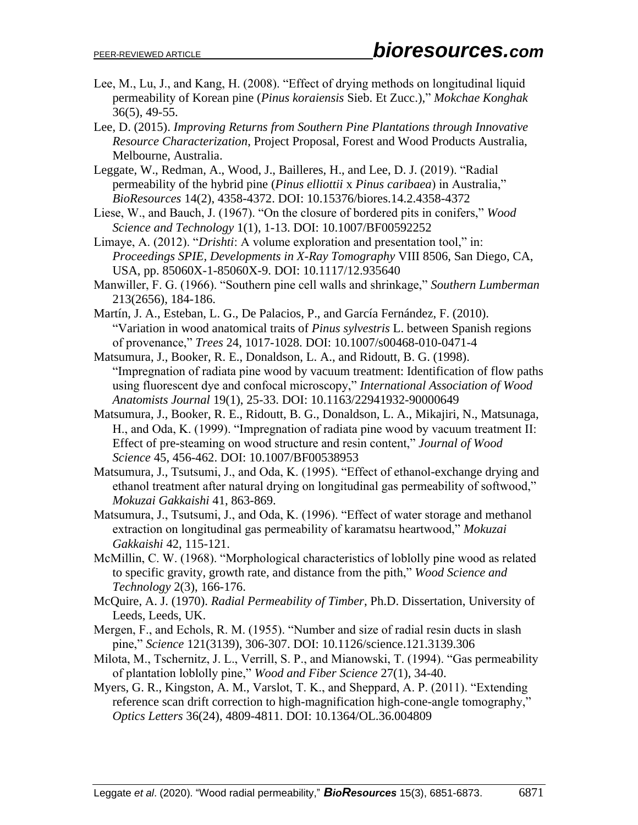- Lee, M., Lu, J., and Kang, H. (2008). "Effect of drying methods on longitudinal liquid permeability of Korean pine (*Pinus koraiensis* Sieb. Et Zucc.)," *Mokchae Konghak* 36(5), 49-55.
- Lee, D. (2015). *Improving Returns from Southern Pine Plantations through Innovative Resource Characterization*, Project Proposal, Forest and Wood Products Australia, Melbourne, Australia.
- Leggate, W., Redman, A., Wood, J., Bailleres, H., and Lee, D. J. (2019). "Radial permeability of the hybrid pine (*Pinus elliottii* x *Pinus caribaea*) in Australia," *BioResources* 14(2), 4358-4372. DOI: 10.15376/biores.14.2.4358-4372
- Liese, W., and Bauch, J. (1967). "On the closure of bordered pits in conifers," *Wood Science and Technology* 1(1), 1-13. DOI: 10.1007/BF00592252
- Limaye, A. (2012). "*Drishti*: A volume exploration and presentation tool," in: *Proceedings SPIE, Developments in X-Ray Tomography* VIII 8506, San Diego, CA, USA, pp. 85060X-1-85060X-9. DOI: 10.1117/12.935640
- Manwiller, F. G. (1966). "Southern pine cell walls and shrinkage," *Southern Lumberman* 213(2656), 184-186.
- Martín, J. A., Esteban, L. G., De Palacios, P., and García Fernández, F. (2010). "Variation in wood anatomical traits of *Pinus sylvestris* L. between Spanish regions of provenance," *Trees* 24, 1017-1028. DOI: 10.1007/s00468-010-0471-4
- Matsumura, J., Booker, R. E., Donaldson, L. A., and Ridoutt, B. G. (1998). "Impregnation of radiata pine wood by vacuum treatment: Identification of flow paths using fluorescent dye and confocal microscopy," *International Association of Wood Anatomists Journal* 19(1), 25-33. DOI: 10.1163/22941932-90000649
- Matsumura, J., Booker, R. E., Ridoutt, B. G., Donaldson, L. A., Mikajiri, N., Matsunaga, H., and Oda, K. (1999). "Impregnation of radiata pine wood by vacuum treatment II: Effect of pre-steaming on wood structure and resin content," *Journal of Wood Science* 45, 456-462. DOI: 10.1007/BF00538953
- Matsumura, J., Tsutsumi, J., and Oda, K. (1995). "Effect of ethanol-exchange drying and ethanol treatment after natural drying on longitudinal gas permeability of softwood," *Mokuzai Gakkaishi* 41, 863-869.
- Matsumura, J., Tsutsumi, J., and Oda, K. (1996). "Effect of water storage and methanol extraction on longitudinal gas permeability of karamatsu heartwood," *Mokuzai Gakkaishi* 42, 115-121.
- McMillin, C. W. (1968). "Morphological characteristics of loblolly pine wood as related to specific gravity, growth rate, and distance from the pith," *Wood Science and Technology* 2(3), 166-176.
- McQuire, A. J. (1970). *Radial Permeability of Timber*, Ph.D. Dissertation, University of Leeds, Leeds, UK.
- Mergen, F., and Echols, R. M. (1955). "Number and size of radial resin ducts in slash pine," *Science* 121(3139), 306-307. DOI: 10.1126/science.121.3139.306
- Milota, M., Tschernitz, J. L., Verrill, S. P., and Mianowski, T. (1994). "Gas permeability of plantation loblolly pine," *Wood and Fiber Science* 27(1), 34-40.
- Myers, G. R., Kingston, A. M., Varslot, T. K., and Sheppard, A. P. (2011). "Extending reference scan drift correction to high-magnification high-cone-angle tomography," *Optics Letters* 36(24), 4809-4811. DOI: 10.1364/OL.36.004809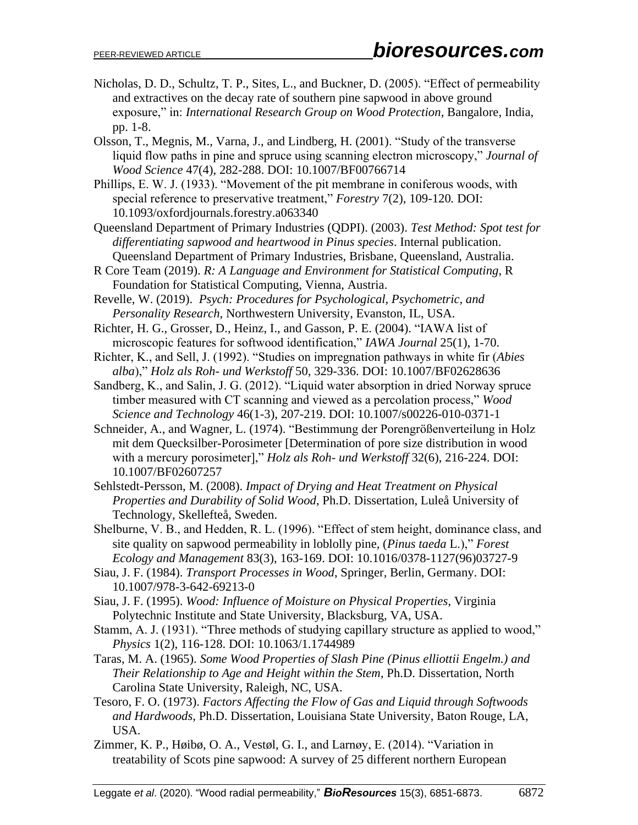- Nicholas, D. D., Schultz, T. P., Sites, L., and Buckner, D. (2005). "Effect of permeability and extractives on the decay rate of southern pine sapwood in above ground exposure," in: *International Research Group on Wood Protection*, Bangalore, India, pp. 1-8.
- Olsson, T., Megnis, M., Varna, J., and Lindberg, H. (2001). "Study of the transverse liquid flow paths in pine and spruce using scanning electron microscopy," *Journal of Wood Science* 47(4), 282-288. DOI: 10.1007/BF00766714
- Phillips, E. W. J. (1933). "Movement of the pit membrane in coniferous woods, with special reference to preservative treatment," *Forestry* 7(2)*,* 109-120*.* DOI: 10.1093/oxfordjournals.forestry.a063340
- Queensland Department of Primary Industries (QDPI). (2003). *Test Method: Spot test for differentiating sapwood and heartwood in Pinus species*. Internal publication. Queensland Department of Primary Industries, Brisbane, Queensland, Australia.
- R Core Team (2019). *R: A Language and Environment for Statistical Computing*, R Foundation for Statistical Computing, Vienna, Austria.
- Revelle, W. (2019). *Psych: Procedures for Psychological, Psychometric, and Personality Research*, Northwestern University, Evanston, IL, USA.
- Richter, H. G., Grosser, D., Heinz, I., and Gasson, P. E. (2004). "IAWA list of microscopic features for softwood identification," *IAWA Journal* 25(1), 1-70.
- Richter, K., and Sell, J. (1992). "Studies on impregnation pathways in white fir (*Abies alba*)," *Holz als Roh- und Werkstoff* 50, 329-336. DOI: 10.1007/BF02628636
- Sandberg, K., and Salin, J. G. (2012). "Liquid water absorption in dried Norway spruce timber measured with CT scanning and viewed as a percolation process," *Wood Science and Technology* 46(1-3), 207-219. DOI: 10.1007/s00226-010-0371-1
- Schneider, A., and Wagner, L. (1974). "Bestimmung der Porengrößenverteilung in Holz mit dem Quecksilber-Porosimeter [Determination of pore size distribution in wood with a mercury porosimeter]," *Holz als Roh- und Werkstoff* 32(6), 216-224. [DOI:](https://doi.org/10.1007/BF02607257)  [10.1007/BF02607257](https://doi.org/10.1007/BF02607257)
- Sehlstedt-Persson, M. (2008). *Impact of Drying and Heat Treatment on Physical Properties and Durability of Solid Wood*, Ph.D. Dissertation, Luleå University of Technology, Skellefteå, Sweden.
- Shelburne, V. B., and Hedden, R. L. (1996). "Effect of stem height, dominance class, and site quality on sapwood permeability in loblolly pine, (*Pinus taeda* L.)," *Forest Ecology and Management* 83(3), 163-169. DOI: 10.1016/0378-1127(96)03727-9
- Siau, J. F. (1984). *Transport Processes in Wood*, Springer, Berlin, Germany. DOI: 10.1007/978-3-642-69213-0
- Siau, J. F. (1995). *Wood: Influence of Moisture on Physical Properties*, Virginia Polytechnic Institute and State University, Blacksburg, VA, USA.
- Stamm, A. J. (1931). "Three methods of studying capillary structure as applied to wood," *Physics* 1(2), 116-128. DOI: 10.1063/1.1744989
- Taras, M. A. (1965). *Some Wood Properties of Slash Pine (Pinus elliottii Engelm.) and Their Relationship to Age and Height within the Stem*, Ph.D. Dissertation, North Carolina State University, Raleigh, NC, USA.
- Tesoro, F. O. (1973). *Factors Affecting the Flow of Gas and Liquid through Softwoods and Hardwoods*, Ph.D. Dissertation, Louisiana State University, Baton Rouge, LA, USA.
- Zimmer, K. P., Høibø, O. A., Vestøl, G. I., and Larnøy, E. (2014). "Variation in treatability of Scots pine sapwood: A survey of 25 different northern European